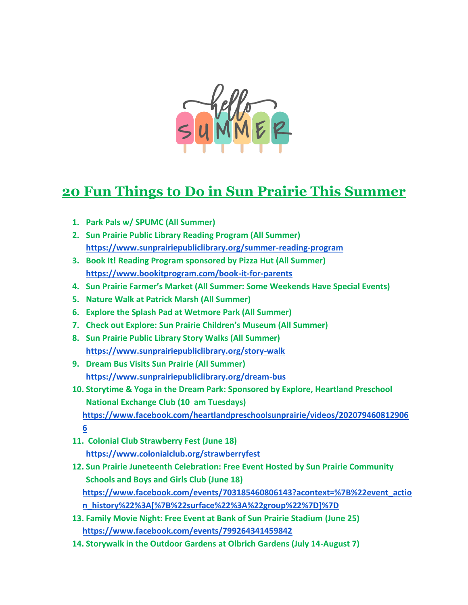

## **20 Fun Things to Do in Sun Prairie This Summer**

- **1. Park Pals w/ SPUMC (All Summer)**
- **2. Sun Prairie Public Library Reading Program (All Summer) <https://www.sunprairiepubliclibrary.org/summer-reading-program>**
- **3. Book It! Reading Program sponsored by Pizza Hut (All Summer) <https://www.bookitprogram.com/book-it-for-parents>**
- **4. Sun Prairie Farmer's Market (All Summer: Some Weekends Have Special Events)**
- **5. Nature Walk at Patrick Marsh (All Summer)**
- **6. Explore the Splash Pad at Wetmore Park (All Summer)**
- **7. Check out Explore: Sun Prairie Children's Museum (All Summer)**
- **8. Sun Prairie Public Library Story Walks (All Summer) <https://www.sunprairiepubliclibrary.org/story-walk>**
- **9. Dream Bus Visits Sun Prairie (All Summer) <https://www.sunprairiepubliclibrary.org/dream-bus>**
- **10. Storytime & Yoga in the Dream Park: Sponsored by Explore, Heartland Preschool National Exchange Club (10 am Tuesdays) [https://www.facebook.com/heartlandpreschoolsunprairie/videos/202079460812906](https://www.facebook.com/heartlandpreschoolsunprairie/videos/2020794608129066) [6](https://www.facebook.com/heartlandpreschoolsunprairie/videos/2020794608129066)**
- **11. Colonial Club Strawberry Fest (June 18) <https://www.colonialclub.org/strawberryfest>**
- **12. Sun Prairie Juneteenth Celebration: Free Event Hosted by Sun Prairie Community Schools and Boys and Girls Club (June 18) [https://www.facebook.com/events/703185460806143?acontext=%7B%22event\\_actio](https://www.facebook.com/events/703185460806143?acontext=%7B%22event_action_history%22%3A%5B%7B%22surface%22%3A%22group%22%7D%5D%7D) [n\\_history%22%3A\[%7B%22surface%22%3A%22group%22%7D\]%7D](https://www.facebook.com/events/703185460806143?acontext=%7B%22event_action_history%22%3A%5B%7B%22surface%22%3A%22group%22%7D%5D%7D)**
- **13. Family Movie Night: Free Event at Bank of Sun Prairie Stadium (June 25) <https://www.facebook.com/events/799264341459842>**
- **14. Storywalk in the Outdoor Gardens at Olbrich Gardens (July 14-August 7)**